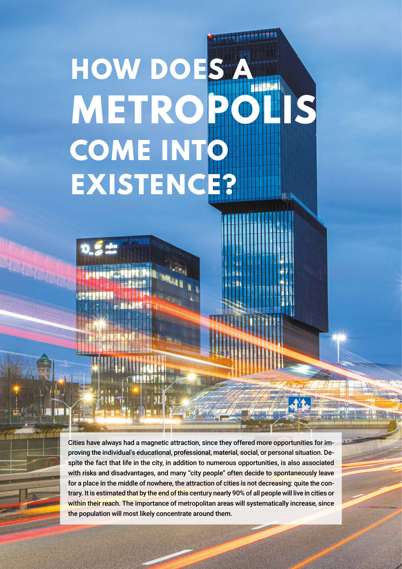## **HOW DOES METROPOLIS COME INT EXISTENC**

**REFERE** 

Cities have always had a magnetic attraction, since they offered more opportunities for improving the individual's educational, professional, material, social, or personal situation. Despite the fact that life in the city, in addition to numerous opportunities, is also associated with risks and disadvantages, and many "city people" often decide to spontaneously leave for a place in the middle of nowhere, the attraction of cities is not decreasing: quite the contrary. It is estimated that by the end of this century nearly 90% of all people will live in cities or within their reach. The importance of metropolitan areas will systematically increase, since the population will most likely concentrate around them.

<sup>14</sup> **NO**